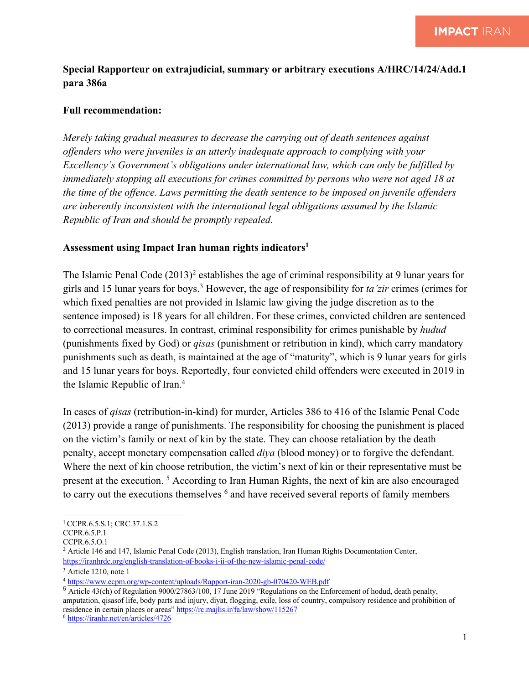## **Special Rapporteur on extrajudicial, summary or arbitrary executions A/HRC/14/24/Add.1 para 386a**

## **Full recommendation:**

*Merely taking gradual measures to decrease the carrying out of death sentences against offenders who were juveniles is an utterly inadequate approach to complying with your Excellency's Government's obligations under international law, which can only be fulfilled by immediately stopping all executions for crimes committed by persons who were not aged 18 at the time of the offence. Laws permitting the death sentence to be imposed on juvenile offenders are inherently inconsistent with the international legal obligations assumed by the Islamic Republic of Iran and should be promptly repealed.*

## **Assessment using Impact Iran human rights indicators1**

The Islamic Penal Code  $(2013)^2$  establishes the age of criminal responsibility at 9 lunar years for girls and 15 lunar years for boys.3 However, the age of responsibility for *ta'zir* crimes (crimes for which fixed penalties are not provided in Islamic law giving the judge discretion as to the sentence imposed) is 18 years for all children. For these crimes, convicted children are sentenced to correctional measures. In contrast, criminal responsibility for crimes punishable by *hudud* (punishments fixed by God) or *qisas* (punishment or retribution in kind), which carry mandatory punishments such as death, is maintained at the age of "maturity", which is 9 lunar years for girls and 15 lunar years for boys. Reportedly, four convicted child offenders were executed in 2019 in the Islamic Republic of Iran.4

In cases of *qisas* (retribution-in-kind) for murder, Articles 386 to 416 of the Islamic Penal Code (2013) provide a range of punishments. The responsibility for choosing the punishment is placed on the victim's family or next of kin by the state. They can choose retaliation by the death penalty, accept monetary compensation called *diya* (blood money) or to forgive the defendant. Where the next of kin choose retribution, the victim's next of kin or their representative must be present at the execution. 5 According to Iran Human Rights, the next of kin are also encouraged to carry out the executions themselves <sup>6</sup> and have received several reports of family members

<sup>&</sup>lt;sup>1</sup> CCPR.6.5.S.1; CRC.37.1.S.2

CCPR.6.5.P.1

CCPR.6.5.O.1

<sup>2</sup> Article 146 and 147, Islamic Penal Code (2013), English translation, Iran Human Rights Documentation Center, https://iranhrdc.org/english-translation-of-books-i-ii-of-the-new-islamic-penal-code/

<sup>&</sup>lt;sup>3</sup> Article 1210, note 1

<sup>4</sup> https://www.ecpm.org/wp-content/uploads/Rapport-iran-2020-gb-070420-WEB.pdf

<sup>5</sup> Article 43(ch) of Regulation 9000/27863/100, 17 June 2019 "Regulations on the Enforcement of hodud, death penalty, amputation, qisasof life, body parts and injury, diyat, flogging, exile, loss of country, compulsory residence and prohibition of residence in certain places or areas" https://rc.majlis.ir/fa/law/show/115267

<sup>6</sup> https://iranhr.net/en/articles/4726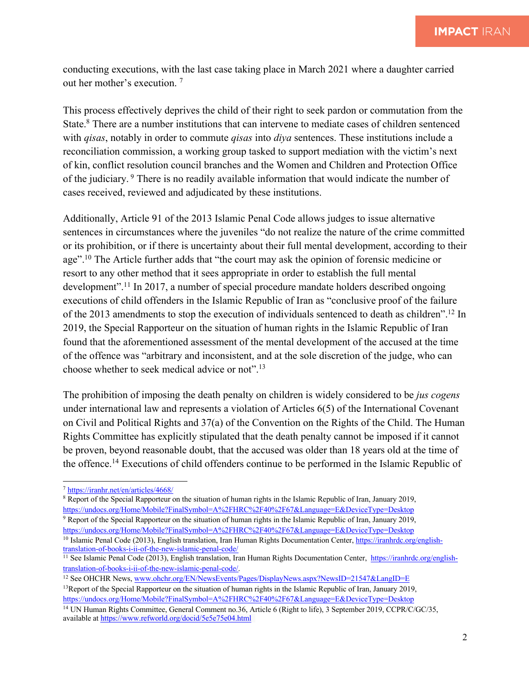conducting executions, with the last case taking place in March 2021 where a daughter carried out her mother's execution. <sup>7</sup>

This process effectively deprives the child of their right to seek pardon or commutation from the State.8 There are a number institutions that can intervene to mediate cases of children sentenced with *qisas*, notably in order to commute *qisas* into *diya* sentences. These institutions include a reconciliation commission, a working group tasked to support mediation with the victim's next of kin, conflict resolution council branches and the Women and Children and Protection Office of the judiciary. <sup>9</sup> There is no readily available information that would indicate the number of cases received, reviewed and adjudicated by these institutions.

Additionally, Article 91 of the 2013 Islamic Penal Code allows judges to issue alternative sentences in circumstances where the juveniles "do not realize the nature of the crime committed or its prohibition, or if there is uncertainty about their full mental development, according to their age".10 The Article further adds that "the court may ask the opinion of forensic medicine or resort to any other method that it sees appropriate in order to establish the full mental development".<sup>11</sup> In 2017, a number of special procedure mandate holders described ongoing executions of child offenders in the Islamic Republic of Iran as "conclusive proof of the failure of the 2013 amendments to stop the execution of individuals sentenced to death as children".12 In 2019, the Special Rapporteur on the situation of human rights in the Islamic Republic of Iran found that the aforementioned assessment of the mental development of the accused at the time of the offence was "arbitrary and inconsistent, and at the sole discretion of the judge, who can choose whether to seek medical advice or not".13

The prohibition of imposing the death penalty on children is widely considered to be *jus cogens* under international law and represents a violation of Articles 6(5) of the International Covenant on Civil and Political Rights and 37(a) of the Convention on the Rights of the Child. The Human Rights Committee has explicitly stipulated that the death penalty cannot be imposed if it cannot be proven, beyond reasonable doubt, that the accused was older than 18 years old at the time of the offence.14 Executions of child offenders continue to be performed in the Islamic Republic of

<sup>9</sup> Report of the Special Rapporteur on the situation of human rights in the Islamic Republic of Iran, January 2019, https://undocs.org/Home/Mobile?FinalSymbol=A%2FHRC%2F40%2F67&Language=E&DeviceType=Desktop

<sup>12</sup> See OHCHR News, www.ohchr.org/EN/NewsEvents/Pages/DisplayNews.aspx?NewsID=21547&LangID=E

<sup>7</sup> https://iranhr.net/en/articles/4668/

<sup>8</sup> Report of the Special Rapporteur on the situation of human rights in the Islamic Republic of Iran, January 2019, https://undocs.org/Home/Mobile?FinalSymbol=A%2FHRC%2F40%2F67&Language=E&DeviceType=Desktop

<sup>&</sup>lt;sup>10</sup> Islamic Penal Code (2013), English translation, Iran Human Rights Documentation Center, https://iranhrdc.org/englishtranslation-of-books-i-ii-of-the-new-islamic-penal-code/

<sup>&</sup>lt;sup>11</sup> See Islamic Penal Code (2013), English translation, Iran Human Rights Documentation Center, https://iranhrdc.org/englishtranslation-of-books-i-ii-of-the-new-islamic-penal-code/.

<sup>&</sup>lt;sup>13</sup>Report of the Special Rapporteur on the situation of human rights in the Islamic Republic of Iran, January 2019, https://undocs.org/Home/Mobile?FinalSymbol=A%2FHRC%2F40%2F67&Language=E&DeviceType=Desktop

<sup>&</sup>lt;sup>14</sup> UN Human Rights Committee, General Comment no.36, Article 6 (Right to life), 3 September 2019, CCPR/C/GC/35, available at https://www.refworld.org/docid/5e5e75e04.html